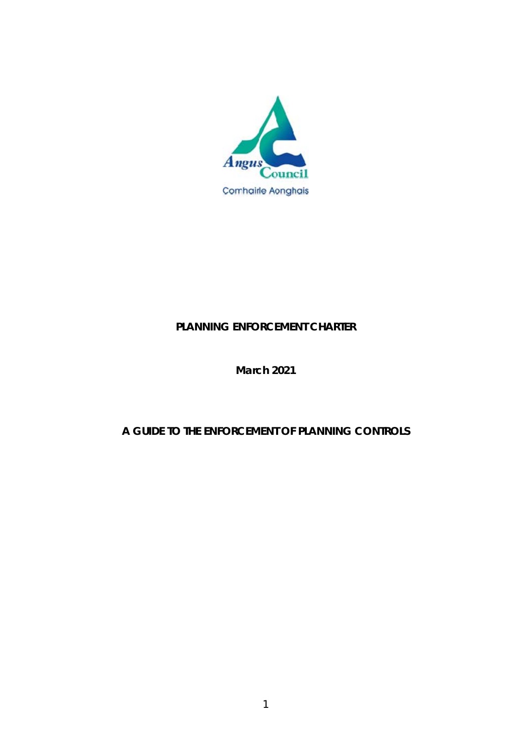

# **PLANNING ENFORCEMENT CHARTER**

# **March 2021**

# **A GUIDE TO THE ENFORCEMENT OF PLANNING CONTROLS**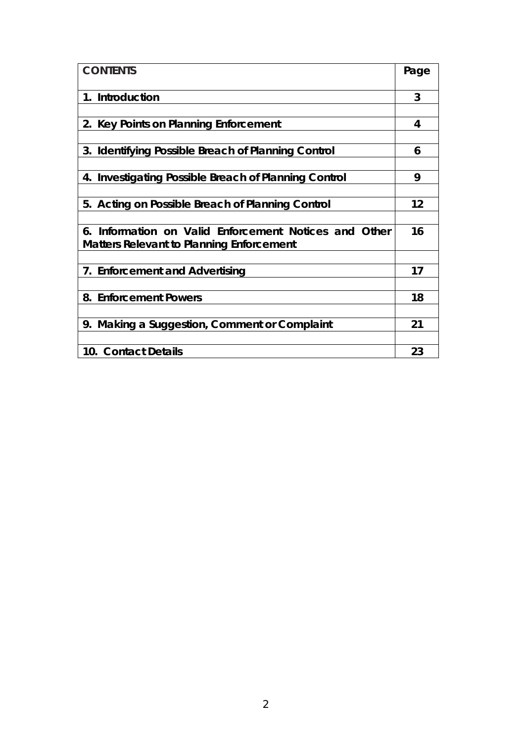| <b>CONTENTS</b>                                       | Page |
|-------------------------------------------------------|------|
| 1. Introduction                                       | 3    |
|                                                       |      |
| 2. Key Points on Planning Enforcement                 | 4    |
|                                                       |      |
| 3. Identifying Possible Breach of Planning Control    | 6    |
|                                                       |      |
| 4. Investigating Possible Breach of Planning Control  | 9    |
|                                                       |      |
| 5. Acting on Possible Breach of Planning Control      | 12   |
|                                                       |      |
| 6. Information on Valid Enforcement Notices and Other | 16   |
| <b>Matters Relevant to Planning Enforcement</b>       |      |
|                                                       |      |
| 7. Enforcement and Advertising                        | 17   |
|                                                       |      |
| 8. Enforcement Powers                                 | 18   |
|                                                       |      |
| 9. Making a Suggestion, Comment or Complaint          | 21   |
|                                                       |      |
| 10. Contact Details                                   | 23   |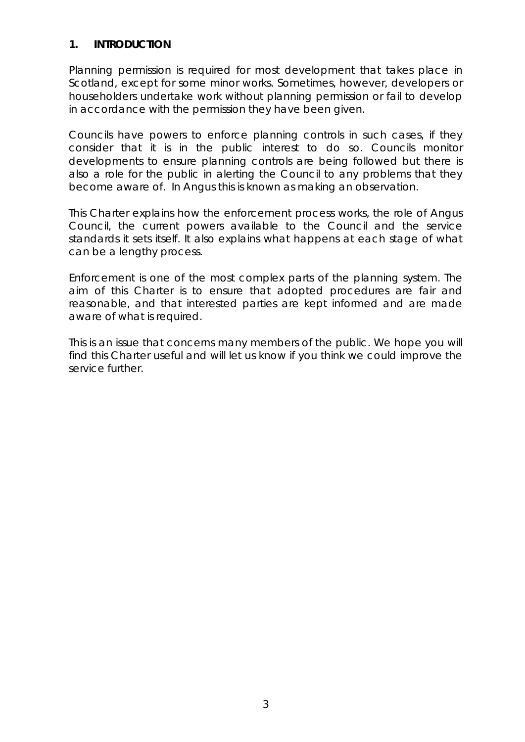# **1. INTRODUCTION**

Planning permission is required for most development that takes place in Scotland, except for some minor works. Sometimes, however, developers or householders undertake work without planning permission or fail to develop in accordance with the permission they have been given.

Councils have powers to enforce planning controls in such cases, if they consider that it is in the public interest to do so. Councils monitor developments to ensure planning controls are being followed but there is also a role for the public in alerting the Council to any problems that they become aware of. In Angus this is known as making an observation.

This Charter explains how the enforcement process works, the role of Angus Council, the current powers available to the Council and the service standards it sets itself. It also explains what happens at each stage of what can be a lengthy process.

Enforcement is one of the most complex parts of the planning system. The aim of this Charter is to ensure that adopted procedures are fair and reasonable, and that interested parties are kept informed and are made aware of what is required.

This is an issue that concerns many members of the public. We hope you will find this Charter useful and will let us know if you think we could improve the service further.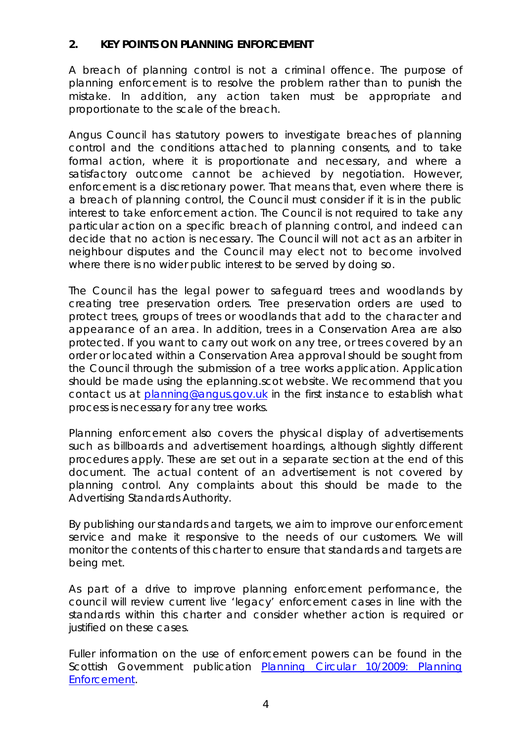# **2. KEY POINTS ON PLANNING ENFORCEMENT**

A breach of planning control is not a criminal offence. The purpose of planning enforcement is to resolve the problem rather than to punish the mistake. In addition, any action taken must be appropriate and proportionate to the scale of the breach.

Angus Council has statutory powers to investigate breaches of planning control and the conditions attached to planning consents, and to take formal action, where it is proportionate and necessary, and where a satisfactory outcome cannot be achieved by negotiation. However, enforcement is a discretionary power. That means that, even where there is a breach of planning control, the Council must consider if it is in the public interest to take enforcement action. The Council is not required to take any particular action on a specific breach of planning control, and indeed can decide that no action is necessary. The Council will not act as an arbiter in neighbour disputes and the Council may elect not to become involved where there is no wider public interest to be served by doing so.

The Council has the legal power to safeguard trees and woodlands by creating tree preservation orders. Tree preservation orders are used to protect trees, groups of trees or woodlands that add to the character and appearance of an area. In addition, trees in a Conservation Area are also protected. If you want to carry out work on any tree, or trees covered by an order or located within a Conservation Area approval should be sought from the Council through the submission of a tree works application. Application should be made using the eplanning.scot website. We recommend that you contact us at planning@angus.gov.uk in the first instance to establish what process is necessary for any tree works.

Planning enforcement also covers the physical display of advertisements such as billboards and advertisement hoardings, although slightly different procedures apply. These are set out in a separate section at the end of this document. The actual content of an advertisement is not covered by planning control. Any complaints about this should be made to the Advertising Standards Authority.

By publishing our standards and targets, we aim to improve our enforcement service and make it responsive to the needs of our customers. We will monitor the contents of this charter to ensure that standards and targets are being met.

As part of a drive to improve planning enforcement performance, the council will review current live 'legacy' enforcement cases in line with the standards within this charter and consider whether action is required or justified on these cases.

Fuller information on the use of enforcement powers can be found in the Scottish Government publication Planning Circular 10/2009: Planning Enforcement.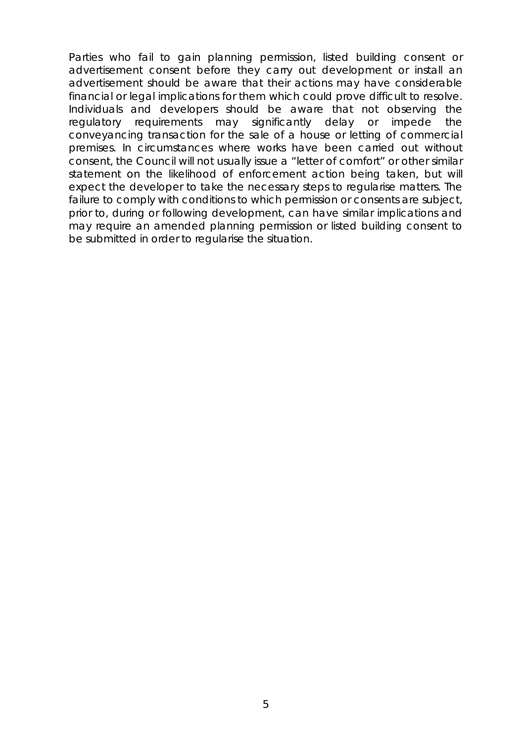Parties who fail to gain planning permission, listed building consent or advertisement consent before they carry out development or install an advertisement should be aware that their actions may have considerable financial or legal implications for them which could prove difficult to resolve. Individuals and developers should be aware that not observing the regulatory requirements may significantly delay or impede the conveyancing transaction for the sale of a house or letting of commercial premises. In circumstances where works have been carried out without consent, the Council will not usually issue a "letter of comfort" or other similar statement on the likelihood of enforcement action being taken, but will expect the developer to take the necessary steps to regularise matters. The failure to comply with conditions to which permission or consents are subject, prior to, during or following development, can have similar implications and may require an amended planning permission or listed building consent to be submitted in order to regularise the situation.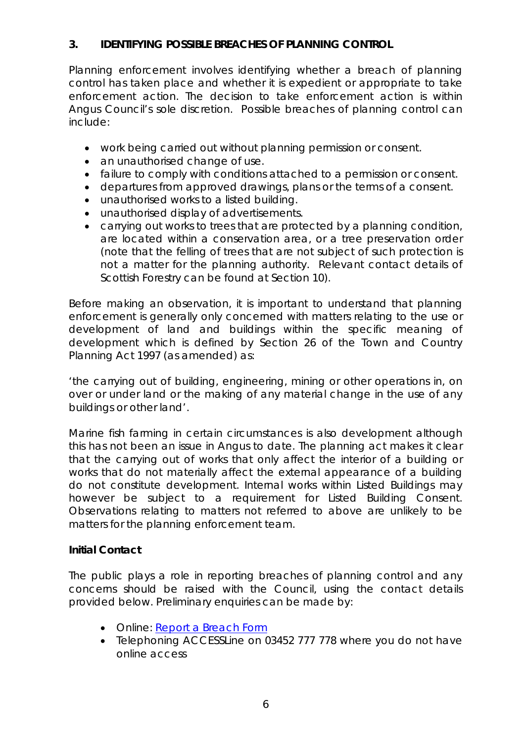# **3. IDENTIFYING POSSIBLE BREACHES OF PLANNING CONTROL**

Planning enforcement involves identifying whether a breach of planning control has taken place and whether it is expedient or appropriate to take enforcement action. The decision to take enforcement action is within Angus Council's sole discretion. Possible breaches of planning control can include:

- work being carried out without planning permission or consent.
- an unauthorised change of use.
- failure to comply with conditions attached to a permission or consent.
- departures from approved drawings, plans or the terms of a consent.
- unauthorised works to a listed building.
- unauthorised display of advertisements.
- carrying out works to trees that are protected by a planning condition, are located within a conservation area, or a tree preservation order (note that the felling of trees that are not subject of such protection is not a matter for the planning authority. Relevant contact details of Scottish Forestry can be found at Section 10).

Before making an observation, it is important to understand that planning enforcement is generally only concerned with matters relating to the use or development of land and buildings within the specific meaning of development which is defined by Section 26 of the Town and Country Planning Act 1997 (as amended) as:

*'the carrying out of building, engineering, mining or other operations in, on over or under land or the making of any material change in the use of any buildings or other land'.* 

Marine fish farming in certain circumstances is also development although this has not been an issue in Angus to date. The planning act makes it clear that the carrying out of works that only affect the interior of a building or works that do not materially affect the external appearance of a building do not constitute development. Internal works within Listed Buildings may however be subject to a requirement for Listed Building Consent. Observations relating to matters not referred to above are unlikely to be matters for the planning enforcement team.

# **Initial Contact**

The public plays a role in reporting breaches of planning control and any concerns should be raised with the Council, using the contact details provided below. Preliminary enquiries can be made by:

- Online: Report a Breach Form
- Telephoning ACCESSLine on 03452 777 778 where you do not have online access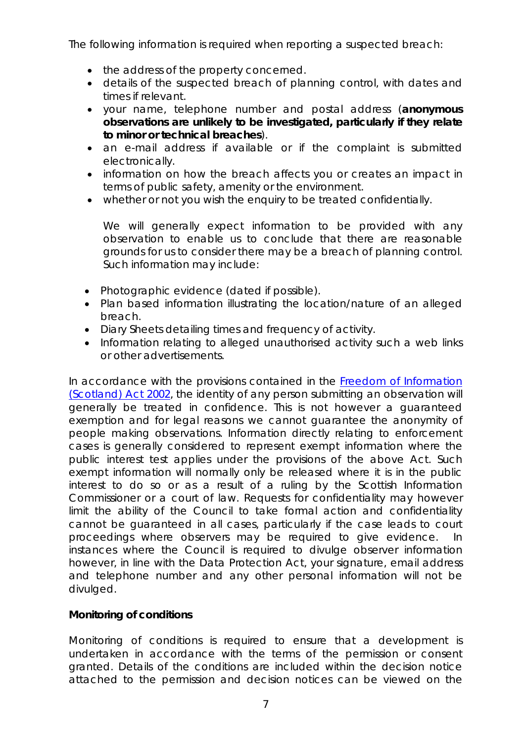The following information is required when reporting a suspected breach:

- the address of the property concerned.
- details of the suspected breach of planning control, with dates and times if relevant.
- your name, telephone number and postal address (**anonymous observations are unlikely to be investigated, particularly if they relate to minor or technical breaches**).
- an e-mail address if available or if the complaint is submitted electronically.
- information on how the breach affects you or creates an impact in terms of public safety, amenity or the environment.
- whether or not you wish the enquiry to be treated confidentially.

We will generally expect information to be provided with any observation to enable us to conclude that there are reasonable grounds for us to consider there may be a breach of planning control. Such information may include:

- Photographic evidence (dated if possible).
- Plan based information illustrating the location/nature of an alleged breach.
- Diary Sheets detailing times and frequency of activity.
- Information relating to alleged unauthorised activity such a web links or other advertisements.

In accordance with the provisions contained in the Freedom of Information (Scotland) Act 2002, the identity of any person submitting an observation will generally be treated in confidence. This is not however a guaranteed exemption and for legal reasons we cannot guarantee the anonymity of people making observations. Information directly relating to enforcement cases is generally considered to represent exempt information where the public interest test applies under the provisions of the above Act. Such exempt information will normally only be released where it is in the public interest to do so or as a result of a ruling by the Scottish Information Commissioner or a court of law. Requests for confidentiality may however limit the ability of the Council to take formal action and confidentiality cannot be guaranteed in all cases, particularly if the case leads to court proceedings where observers may be required to give evidence. In instances where the Council is required to divulge observer information however, in line with the Data Protection Act, your signature, email address and telephone number and any other personal information will not be divulged.

# **Monitoring of conditions**

Monitoring of conditions is required to ensure that a development is undertaken in accordance with the terms of the permission or consent granted. Details of the conditions are included within the decision notice attached to the permission and decision notices can be viewed on the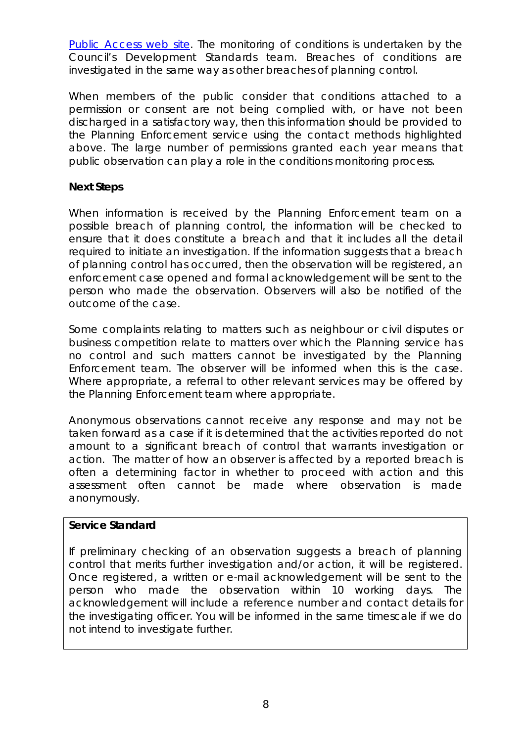Public Access web site. The monitoring of conditions is undertaken by the Council's Development Standards team. Breaches of conditions are investigated in the same way as other breaches of planning control.

When members of the public consider that conditions attached to a permission or consent are not being complied with, or have not been discharged in a satisfactory way, then this information should be provided to the Planning Enforcement service using the contact methods highlighted above. The large number of permissions granted each year means that public observation can play a role in the conditions monitoring process.

# **Next Steps**

When information is received by the Planning Enforcement team on a possible breach of planning control, the information will be checked to ensure that it does constitute a breach and that it includes all the detail required to initiate an investigation. If the information suggests that a breach of planning control has occurred, then the observation will be registered, an enforcement case opened and formal acknowledgement will be sent to the person who made the observation. Observers will also be notified of the outcome of the case.

Some complaints relating to matters such as neighbour or civil disputes or business competition relate to matters over which the Planning service has no control and such matters cannot be investigated by the Planning Enforcement team. The observer will be informed when this is the case. Where appropriate, a referral to other relevant services may be offered by the Planning Enforcement team where appropriate.

Anonymous observations cannot receive any response and may not be taken forward as a case if it is determined that the activities reported do not amount to a significant breach of control that warrants investigation or action. The matter of how an observer is affected by a reported breach is often a determining factor in whether to proceed with action and this assessment often cannot be made where observation is made anonymously.

# **Service Standard**

If preliminary checking of an observation suggests a breach of planning control that merits further investigation and/or action, it will be registered. Once registered, a written or e-mail acknowledgement will be sent to the person who made the observation within 10 working days. The acknowledgement will include a reference number and contact details for the investigating officer. You will be informed in the same timescale if we do not intend to investigate further.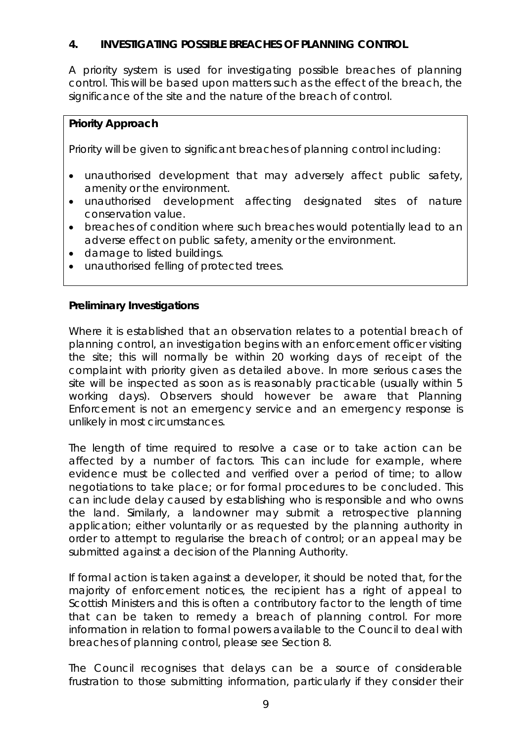# **4. INVESTIGATING POSSIBLE BREACHES OF PLANNING CONTROL**

A priority system is used for investigating possible breaches of planning control. This will be based upon matters such as the effect of the breach, the significance of the site and the nature of the breach of control.

# **Priority Approach**

Priority will be given to significant breaches of planning control including:

- unauthorised development that may adversely affect public safety, amenity or the environment.
- unauthorised development affecting designated sites of nature conservation value.
- breaches of condition where such breaches would potentially lead to an adverse effect on public safety, amenity or the environment.
- damage to listed buildings.
- unauthorised felling of protected trees.

# **Preliminary Investigations**

Where it is established that an observation relates to a potential breach of planning control, an investigation begins with an enforcement officer visiting the site; this will normally be within 20 working days of receipt of the complaint with priority given as detailed above. In more serious cases the site will be inspected as soon as is reasonably practicable (usually within 5 working days). Observers should however be aware that Planning Enforcement is not an emergency service and an emergency response is unlikely in most circumstances.

The length of time required to resolve a case or to take action can be affected by a number of factors. This can include for example, where evidence must be collected and verified over a period of time; to allow negotiations to take place; or for formal procedures to be concluded. This can include delay caused by establishing who is responsible and who owns the land. Similarly, a landowner may submit a retrospective planning application; either voluntarily or as requested by the planning authority in order to attempt to regularise the breach of control; or an appeal may be submitted against a decision of the Planning Authority.

If formal action is taken against a developer, it should be noted that, for the majority of enforcement notices, the recipient has a right of appeal to Scottish Ministers and this is often a contributory factor to the length of time that can be taken to remedy a breach of planning control. For more information in relation to formal powers available to the Council to deal with breaches of planning control, please see Section 8.

The Council recognises that delays can be a source of considerable frustration to those submitting information, particularly if they consider their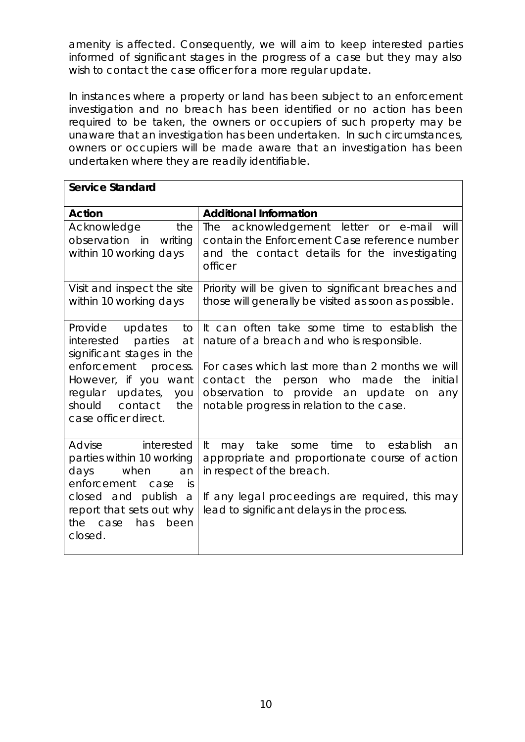amenity is affected. Consequently, we will aim to keep interested parties informed of significant stages in the progress of a case but they may also wish to contact the case officer for a more regular update.

In instances where a property or land has been subject to an enforcement investigation and no breach has been identified or no action has been required to be taken, the owners or occupiers of such property may be unaware that an investigation has been undertaken. In such circumstances, owners or occupiers will be made aware that an investigation has been undertaken where they are readily identifiable.

| <b>Service Standard</b>                                                                                                                                                                                       |                                                                                                                                                                                                                                                                                        |
|---------------------------------------------------------------------------------------------------------------------------------------------------------------------------------------------------------------|----------------------------------------------------------------------------------------------------------------------------------------------------------------------------------------------------------------------------------------------------------------------------------------|
| <b>Action</b>                                                                                                                                                                                                 | <b>Additional Information</b>                                                                                                                                                                                                                                                          |
| Acknowledge<br>the<br>observation in<br>writing<br>within 10 working days                                                                                                                                     | The acknowledgement letter or e-mail will<br>contain the Enforcement Case reference number<br>and the contact details for the investigating<br>officer                                                                                                                                 |
| Visit and inspect the site<br>within 10 working days                                                                                                                                                          | Priority will be given to significant breaches and<br>those will generally be visited as soon as possible.                                                                                                                                                                             |
| Provide<br>updates<br>to<br>interested parties<br>at<br>significant stages in the<br>enforcement process.<br>However, if you want<br>regular updates,<br>you<br>should contact<br>the<br>case officer direct. | It can often take some time to establish the<br>nature of a breach and who is responsible.<br>For cases which last more than 2 months we will<br>contact the person who made the<br>initial<br>observation to provide an update on<br>any<br>notable progress in relation to the case. |
| interested<br>Advise<br>parties within 10 working<br>days<br>when<br>an<br>enforcement<br>case<br>İS<br>closed and publish a<br>report that sets out why<br>the case<br>has<br>been<br>closed.                | to establish<br>It<br>time<br>may take<br>some<br>an<br>appropriate and proportionate course of action<br>in respect of the breach.<br>If any legal proceedings are required, this may<br>lead to significant delays in the process.                                                   |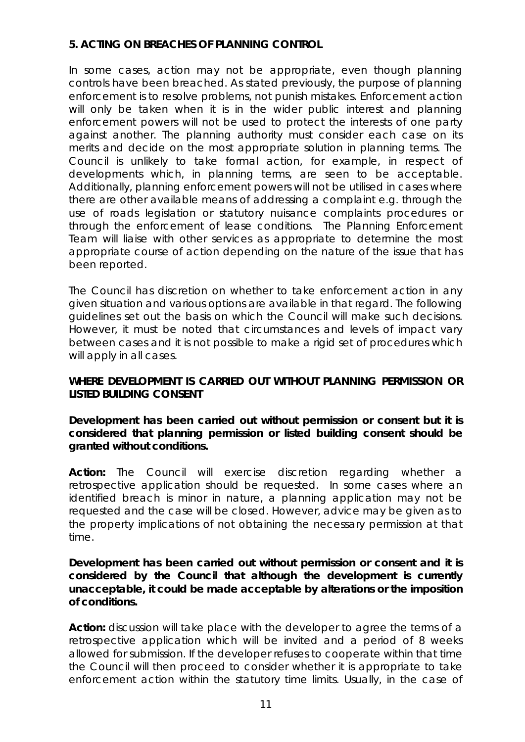# **5. ACTING ON BREACHES OF PLANNING CONTROL**

In some cases, action may not be appropriate, even though planning controls have been breached. As stated previously, the purpose of planning enforcement is to resolve problems, not punish mistakes. Enforcement action will only be taken when it is in the wider public interest and planning enforcement powers will not be used to protect the interests of one party against another. The planning authority must consider each case on its merits and decide on the most appropriate solution in planning terms. The Council is unlikely to take formal action, for example, in respect of developments which, in planning terms, are seen to be acceptable. Additionally, planning enforcement powers will not be utilised in cases where there are other available means of addressing a complaint e.g. through the use of roads legislation or statutory nuisance complaints procedures or through the enforcement of lease conditions. The Planning Enforcement Team will liaise with other services as appropriate to determine the most appropriate course of action depending on the nature of the issue that has been reported.

The Council has discretion on whether to take enforcement action in any given situation and various options are available in that regard. The following guidelines set out the basis on which the Council will make such decisions. However, it must be noted that circumstances and levels of impact vary between cases and it is not possible to make a rigid set of procedures which will apply in all cases.

# **WHERE DEVELOPMENT IS CARRIED OUT WITHOUT PLANNING PERMISSION OR LISTED BUILDING CONSENT**

**Development has been carried out without permission or consent but it is considered that planning permission or listed building consent should be granted without conditions.** 

**Action:** The Council will exercise discretion regarding whether a retrospective application should be requested. In some cases where an identified breach is minor in nature, a planning application may not be requested and the case will be closed. However, advice may be given as to the property implications of not obtaining the necessary permission at that time.

#### **Development has been carried out without permission or consent and it is considered by the Council that although the development is currently unacceptable, it could be made acceptable by alterations or the imposition of conditions.**

**Action:** discussion will take place with the developer to agree the terms of a retrospective application which will be invited and a period of 8 weeks allowed for submission. If the developer refuses to cooperate within that time the Council will then proceed to consider whether it is appropriate to take enforcement action within the statutory time limits. Usually, in the case of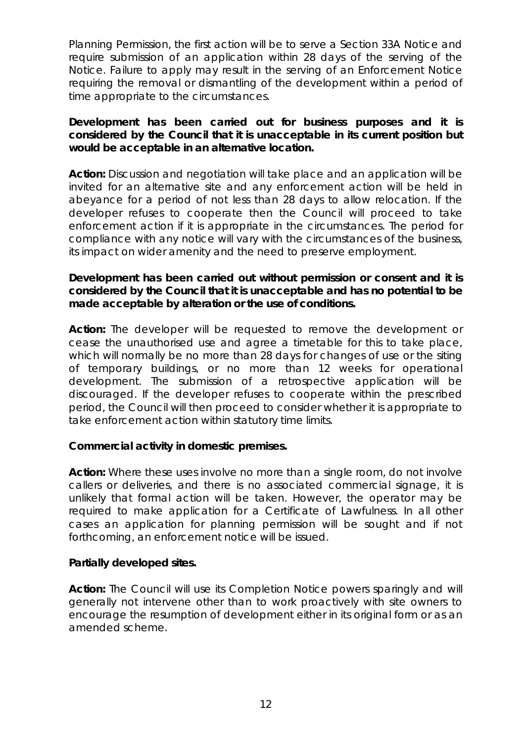Planning Permission, the first action will be to serve a Section 33A Notice and require submission of an application within 28 days of the serving of the Notice. Failure to apply may result in the serving of an Enforcement Notice requiring the removal or dismantling of the development within a period of time appropriate to the circumstances.

### **Development has been carried out for business purposes and it is considered by the Council that it is unacceptable in its current position but would be acceptable in an alternative location.**

**Action:** Discussion and negotiation will take place and an application will be invited for an alternative site and any enforcement action will be held in abeyance for a period of not less than 28 days to allow relocation. If the developer refuses to cooperate then the Council will proceed to take enforcement action if it is appropriate in the circumstances. The period for compliance with any notice will vary with the circumstances of the business, its impact on wider amenity and the need to preserve employment.

# **Development has been carried out without permission or consent and it is considered by the Council that it is unacceptable and has no potential to be made acceptable by alteration or the use of conditions.**

**Action:** The developer will be requested to remove the development or cease the unauthorised use and agree a timetable for this to take place, which will normally be no more than 28 days for changes of use or the siting of temporary buildings, or no more than 12 weeks for operational development. The submission of a retrospective application will be discouraged. If the developer refuses to cooperate within the prescribed period, the Council will then proceed to consider whether it is appropriate to take enforcement action within statutory time limits.

# **Commercial activity in domestic premises.**

**Action:** Where these uses involve no more than a single room, do not involve callers or deliveries, and there is no associated commercial signage, it is unlikely that formal action will be taken. However, the operator may be required to make application for a Certificate of Lawfulness. In all other cases an application for planning permission will be sought and if not forthcoming, an enforcement notice will be issued.

#### **Partially developed sites.**

**Action:** The Council will use its Completion Notice powers sparingly and will generally not intervene other than to work proactively with site owners to encourage the resumption of development either in its original form or as an amended scheme.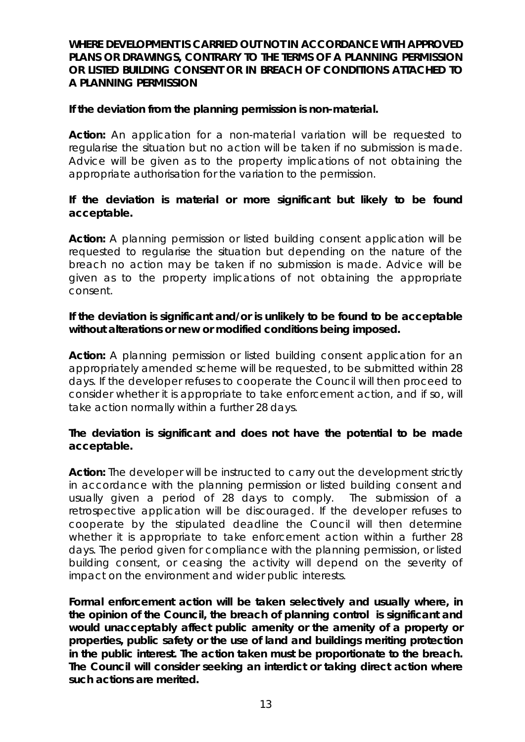### **WHERE DEVELOPMENT IS CARRIED OUT NOT IN ACCORDANCE WITH APPROVED PLANS OR DRAWINGS, CONTRARY TO THE TERMS OF A PLANNING PERMISSION OR LISTED BUILDING CONSENT OR IN BREACH OF CONDITIONS ATTACHED TO A PLANNING PERMISSION**

#### **If the deviation from the planning permission is non-material.**

**Action:** An application for a non-material variation will be requested to regularise the situation but no action will be taken if no submission is made. Advice will be given as to the property implications of not obtaining the appropriate authorisation for the variation to the permission.

# **If the deviation is material or more significant but likely to be found acceptable.**

**Action:** A planning permission or listed building consent application will be requested to regularise the situation but depending on the nature of the breach no action may be taken if no submission is made. Advice will be given as to the property implications of not obtaining the appropriate consent.

### **If the deviation is significant and/or is unlikely to be found to be acceptable without alterations or new or modified conditions being imposed.**

**Action:** A planning permission or listed building consent application for an appropriately amended scheme will be requested, to be submitted within 28 days. If the developer refuses to cooperate the Council will then proceed to consider whether it is appropriate to take enforcement action, and if so, will take action normally within a further 28 days.

#### **The deviation is significant and does not have the potential to be made acceptable.**

**Action:** The developer will be instructed to carry out the development strictly in accordance with the planning permission or listed building consent and usually given a period of 28 days to comply. The submission of a retrospective application will be discouraged. If the developer refuses to cooperate by the stipulated deadline the Council will then determine whether it is appropriate to take enforcement action within a further 28 days. The period given for compliance with the planning permission, or listed building consent, or ceasing the activity will depend on the severity of impact on the environment and wider public interests.

**Formal enforcement action will be taken selectively and usually where, in the opinion of the Council, the breach of planning control is significant and would unacceptably affect public amenity or the amenity of a property or properties, public safety or the use of land and buildings meriting protection in the public interest. The action taken must be proportionate to the breach. The Council will consider seeking an interdict or taking direct action where such actions are merited.**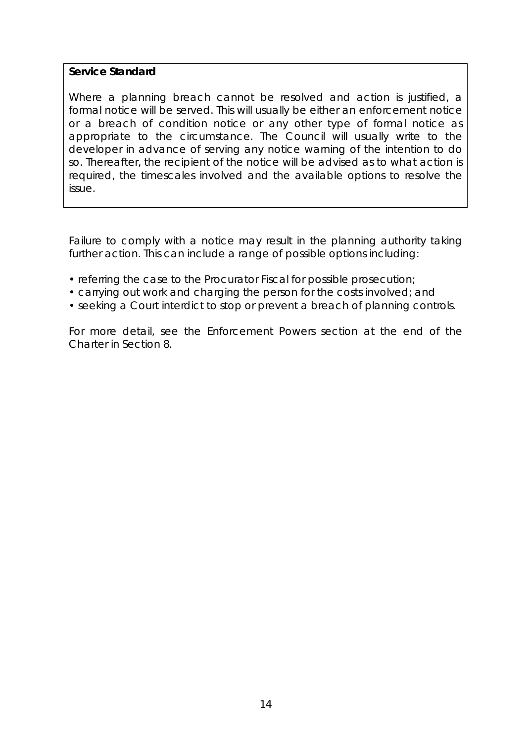# **Service Standard**

Where a planning breach cannot be resolved and action is justified, a formal notice will be served. This will usually be either an enforcement notice or a breach of condition notice or any other type of formal notice as appropriate to the circumstance. The Council will usually write to the developer in advance of serving any notice warning of the intention to do so. Thereafter, the recipient of the notice will be advised as to what action is required, the timescales involved and the available options to resolve the issue.

Failure to comply with a notice may result in the planning authority taking further action. This can include a range of possible options including:

- referring the case to the Procurator Fiscal for possible prosecution;
- carrying out work and charging the person for the costs involved; and
- seeking a Court interdict to stop or prevent a breach of planning controls.

For more detail, see the Enforcement Powers section at the end of the Charter in Section 8.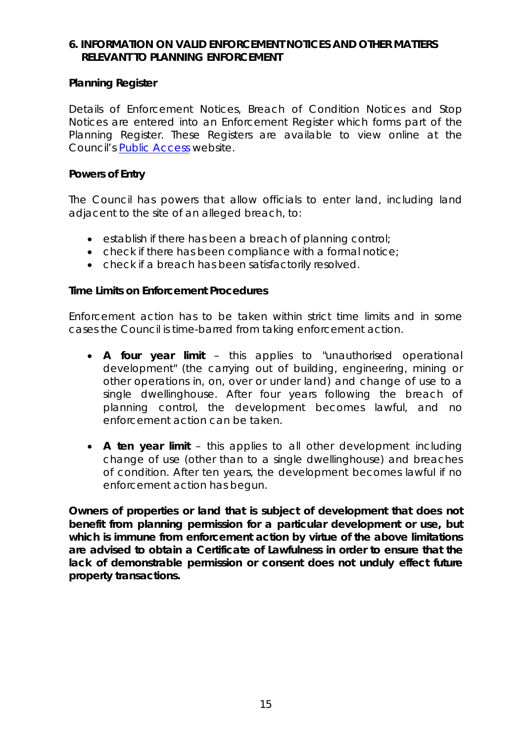### **6. INFORMATION ON VALID ENFORCEMENT NOTICES AND OTHER MATTERS RELEVANT TO PLANNING ENFORCEMENT**

#### **Planning Register**

Details of Enforcement Notices, Breach of Condition Notices and Stop Notices are entered into an Enforcement Register which forms part of the Planning Register. These Registers are available to view online at the Council's Public Access website.

#### **Powers of Entry**

The Council has powers that allow officials to enter land, including land adjacent to the site of an alleged breach, to:

- establish if there has been a breach of planning control;
- check if there has been compliance with a formal notice;
- check if a breach has been satisfactorily resolved.

#### **Time Limits on Enforcement Procedures**

Enforcement action has to be taken within strict time limits and in some cases the Council is time-barred from taking enforcement action.

- **A four year limit** this applies to "unauthorised operational development" (the carrying out of building, engineering, mining or other operations in, on, over or under land) and change of use to a single dwellinghouse. After four years following the breach of planning control, the development becomes lawful, and no enforcement action can be taken.
- **A ten year limit** this applies to all other development including change of use (other than to a single dwellinghouse) and breaches of condition. After ten years, the development becomes lawful if no enforcement action has begun.

**Owners of properties or land that is subject of development that does not benefit from planning permission for a particular development or use, but which is immune from enforcement action by virtue of the above limitations are advised to obtain a Certificate of Lawfulness in order to ensure that the lack of demonstrable permission or consent does not unduly effect future property transactions.**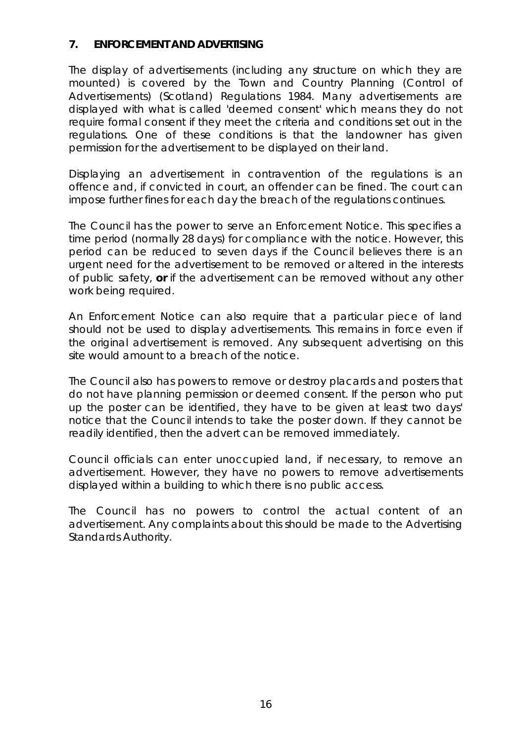# **7. ENFORCEMENT AND ADVERTISING**

The display of advertisements (including any structure on which they are mounted) is covered by the Town and Country Planning (Control of Advertisements) (Scotland) Regulations 1984. Many advertisements are displayed with what is called 'deemed consent' which means they do not require formal consent if they meet the criteria and conditions set out in the regulations. One of these conditions is that the landowner has given permission for the advertisement to be displayed on their land.

Displaying an advertisement in contravention of the regulations is an offence and, if convicted in court, an offender can be fined. The court can impose further fines for each day the breach of the regulations continues.

The Council has the power to serve an Enforcement Notice. This specifies a time period (normally 28 days) for compliance with the notice. However, this period can be reduced to seven days if the Council believes there is an urgent need for the advertisement to be removed or altered in the interests of public safety, **or** if the advertisement can be removed without any other work being required.

An Enforcement Notice can also require that a particular piece of land should not be used to display advertisements. This remains in force even if the original advertisement is removed. Any subsequent advertising on this site would amount to a breach of the notice.

The Council also has powers to remove or destroy placards and posters that do not have planning permission or deemed consent. If the person who put up the poster can be identified, they have to be given at least two days' notice that the Council intends to take the poster down. If they cannot be readily identified, then the advert can be removed immediately.

Council officials can enter unoccupied land, if necessary, to remove an advertisement. However, they have no powers to remove advertisements displayed within a building to which there is no public access.

The Council has no powers to control the actual content of an advertisement. Any complaints about this should be made to the Advertising Standards Authority.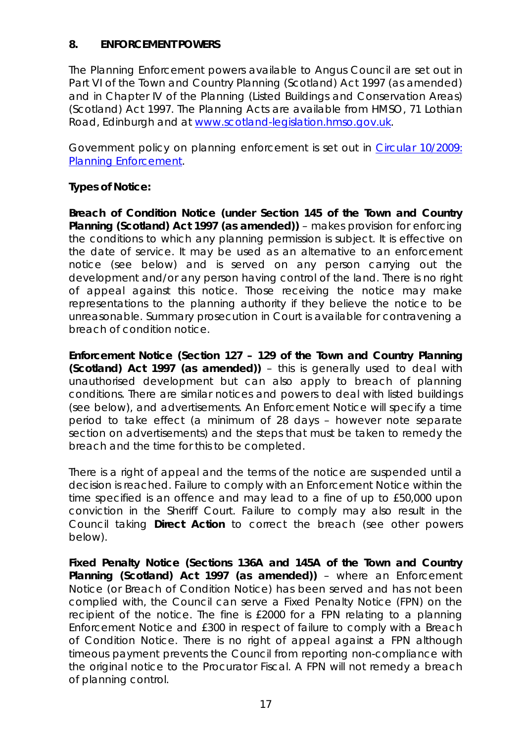# **8. ENFORCEMENT POWERS**

The Planning Enforcement powers available to Angus Council are set out in Part VI of the Town and Country Planning (Scotland) Act 1997 (as amended) and in Chapter IV of the Planning (Listed Buildings and Conservation Areas) (Scotland) Act 1997. The Planning Acts are available from HMSO, 71 Lothian Road, Edinburgh and at www.scotland-legislation.hmso.gov.uk.

Government policy on planning enforcement is set out in *Circular 10/2009: Planning Enforcement*.

# **Types of Notice:**

**Breach of Condition Notice (under Section 145 of the Town and Country Planning (Scotland) Act 1997 (as amended))** – makes provision for enforcing the conditions to which any planning permission is subject. It is effective on the date of service. It may be used as an alternative to an enforcement notice (see below) and is served on any person carrying out the development and/or any person having control of the land. There is no right of appeal against this notice. Those receiving the notice may make representations to the planning authority if they believe the notice to be unreasonable. Summary prosecution in Court is available for contravening a breach of condition notice.

**Enforcement Notice (Section 127 – 129 of the Town and Country Planning (Scotland) Act 1997 (as amended))** – this is generally used to deal with unauthorised development but can also apply to breach of planning conditions. There are similar notices and powers to deal with listed buildings (see below), and advertisements. An Enforcement Notice will specify a time period to take effect (a minimum of 28 days – however note separate section on advertisements) and the steps that must be taken to remedy the breach and the time for this to be completed.

There is a right of appeal and the terms of the notice are suspended until a decision is reached. Failure to comply with an Enforcement Notice within the time specified is an offence and may lead to a fine of up to £50,000 upon conviction in the Sheriff Court. Failure to comply may also result in the Council taking **Direct Action** to correct the breach (see other powers below).

**Fixed Penalty Notice (Sections 136A and 145A of the Town and Country Planning (Scotland) Act 1997 (as amended))** – where an Enforcement Notice (or Breach of Condition Notice) has been served and has not been complied with, the Council can serve a Fixed Penalty Notice (FPN) on the recipient of the notice. The fine is £2000 for a FPN relating to a planning Enforcement Notice and £300 in respect of failure to comply with a Breach of Condition Notice. There is no right of appeal against a FPN although timeous payment prevents the Council from reporting non-compliance with the original notice to the Procurator Fiscal. A FPN will not remedy a breach of planning control.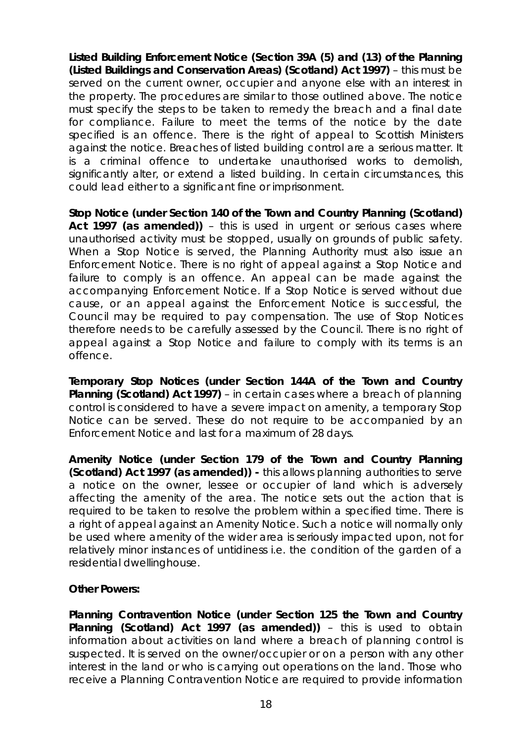**Listed Building Enforcement Notice (Section 39A (5) and (13) of the Planning (Listed Buildings and Conservation Areas) (Scotland) Act 1997)** – this must be served on the current owner, occupier and anyone else with an interest in the property. The procedures are similar to those outlined above. The notice must specify the steps to be taken to remedy the breach and a final date for compliance. Failure to meet the terms of the notice by the date specified is an offence. There is the right of appeal to Scottish Ministers against the notice. Breaches of listed building control are a serious matter. It is a criminal offence to undertake unauthorised works to demolish, significantly alter, or extend a listed building. In certain circumstances, this could lead either to a significant fine or imprisonment.

**Stop Notice (under Section 140 of the Town and Country Planning (Scotland) Act 1997 (as amended))** – this is used in urgent or serious cases where unauthorised activity must be stopped, usually on grounds of public safety. When a Stop Notice is served, the Planning Authority must also issue an Enforcement Notice. There is no right of appeal against a Stop Notice and failure to comply is an offence. An appeal can be made against the accompanying Enforcement Notice. If a Stop Notice is served without due cause, or an appeal against the Enforcement Notice is successful, the Council may be required to pay compensation. The use of Stop Notices therefore needs to be carefully assessed by the Council. There is no right of appeal against a Stop Notice and failure to comply with its terms is an offence.

**Temporary Stop Notices (under Section 144A of the Town and Country Planning (Scotland) Act 1997)** – in certain cases where a breach of planning control is considered to have a severe impact on amenity, a temporary Stop Notice can be served. These do not require to be accompanied by an Enforcement Notice and last for a maximum of 28 days.

**Amenity Notice (under Section 179 of the Town and Country Planning (Scotland) Act 1997 (as amended)) -** this allows planning authorities to serve a notice on the owner, lessee or occupier of land which is adversely affecting the amenity of the area. The notice sets out the action that is required to be taken to resolve the problem within a specified time. There is a right of appeal against an Amenity Notice. Such a notice will normally only be used where amenity of the wider area is seriously impacted upon, not for relatively minor instances of untidiness i.e. the condition of the garden of a residential dwellinghouse.

# **Other Powers:**

**Planning Contravention Notice (under Section 125 the Town and Country Planning (Scotland) Act 1997 (as amended))** – this is used to obtain information about activities on land where a breach of planning control is suspected. It is served on the owner/occupier or on a person with any other interest in the land or who is carrying out operations on the land. Those who receive a Planning Contravention Notice are required to provide information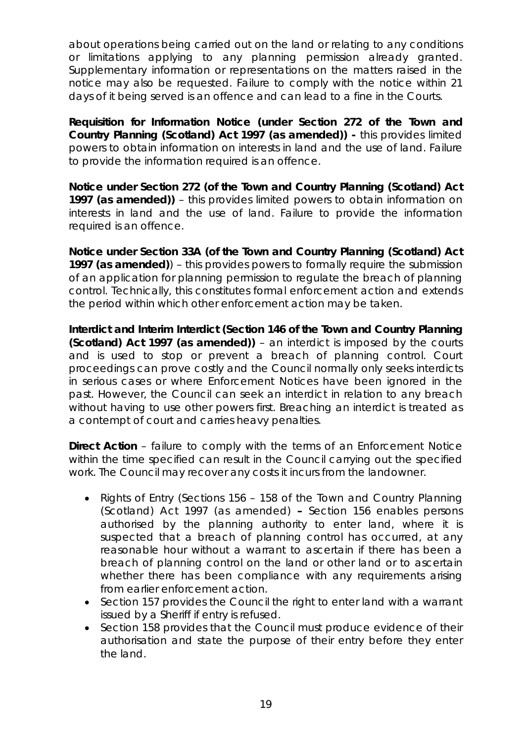about operations being carried out on the land or relating to any conditions or limitations applying to any planning permission already granted. Supplementary information or representations on the matters raised in the notice may also be requested. Failure to comply with the notice within 21 days of it being served is an offence and can lead to a fine in the Courts.

**Requisition for Information Notice (under Section 272 of the Town and Country Planning (Scotland) Act 1997 (as amended)) -** this provides limited powers to obtain information on interests in land and the use of land. Failure to provide the information required is an offence.

**Notice under Section 272 (of the Town and Country Planning (Scotland) Act 1997 (as amended))** – this provides limited powers to obtain information on interests in land and the use of land. Failure to provide the information required is an offence.

**Notice under Section 33A (of the Town and Country Planning (Scotland) Act 1997 (as amended)**) – this provides powers to formally require the submission of an application for planning permission to regulate the breach of planning control. Technically, this constitutes formal enforcement action and extends the period within which other enforcement action may be taken.

**Interdict and Interim Interdict (Section 146 of the Town and Country Planning (Scotland) Act 1997 (as amended))** – an interdict is imposed by the courts and is used to stop or prevent a breach of planning control. Court proceedings can prove costly and the Council normally only seeks interdicts in serious cases or where Enforcement Notices have been ignored in the past. However, the Council can seek an interdict in relation to any breach without having to use other powers first. Breaching an interdict is treated as a contempt of court and carries heavy penalties.

**Direct Action** – failure to comply with the terms of an Enforcement Notice within the time specified can result in the Council carrying out the specified work. The Council may recover any costs it incurs from the landowner.

- Rights of Entry (Sections 156 158 of the Town and Country Planning (Scotland) Act 1997 (as amended) **–** Section 156 enables persons authorised by the planning authority to enter land, where it is suspected that a breach of planning control has occurred, at any reasonable hour without a warrant to ascertain if there has been a breach of planning control on the land or other land or to ascertain whether there has been compliance with any requirements arising from earlier enforcement action.
- Section 157 provides the Council the right to enter land with a warrant issued by a Sheriff if entry is refused.
- Section 158 provides that the Council must produce evidence of their authorisation and state the purpose of their entry before they enter the land.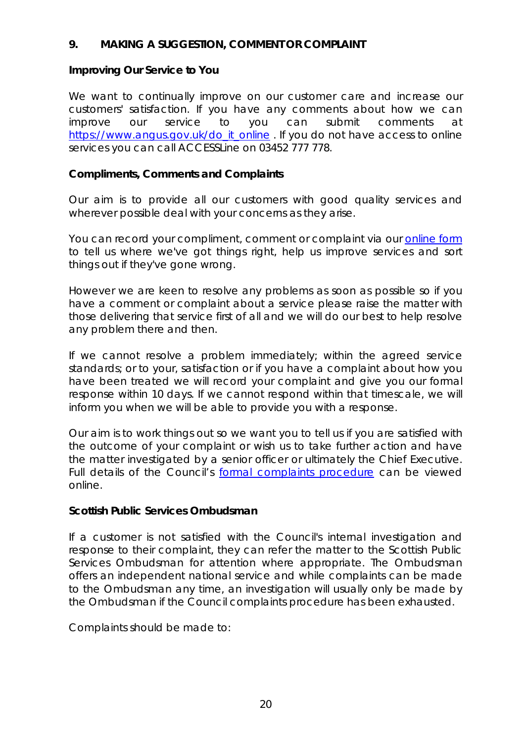# **9. MAKING A SUGGESTION, COMMENT OR COMPLAINT**

# **Improving Our Service to You**

We want to continually improve on our customer care and increase our customers' satisfaction. If you have any comments about how we can improve our service to you can submit comments at https://www.angus.gov.uk/do\_it\_online . If you do not have access to online services you can call ACCESSLine on 03452 777 778.

# **Compliments, Comments and Complaints**

Our aim is to provide all our customers with good quality services and wherever possible deal with your concerns as they arise.

You can record your compliment, comment or complaint via our online form to tell us where we've got things right, help us improve services and sort things out if they've gone wrong.

However we are keen to resolve any problems as soon as possible so if you have a comment or complaint about a service please raise the matter with those delivering that service first of all and we will do our best to help resolve any problem there and then.

If we cannot resolve a problem immediately; within the agreed service standards; or to your, satisfaction or if you have a complaint about how you have been treated we will record your complaint and give you our formal response within 10 days. If we cannot respond within that timescale, we will inform you when we will be able to provide you with a response.

Our aim is to work things out so we want you to tell us if you are satisfied with the outcome of your complaint or wish us to take further action and have the matter investigated by a senior officer or ultimately the Chief Executive. Full details of the Council's formal complaints procedure can be viewed online.

# **Scottish Public Services Ombudsman**

If a customer is not satisfied with the Council's internal investigation and response to their complaint, they can refer the matter to the Scottish Public Services Ombudsman for attention where appropriate. The Ombudsman offers an independent national service and while complaints can be made to the Ombudsman any time, an investigation will usually only be made by the Ombudsman if the Council complaints procedure has been exhausted.

Complaints should be made to: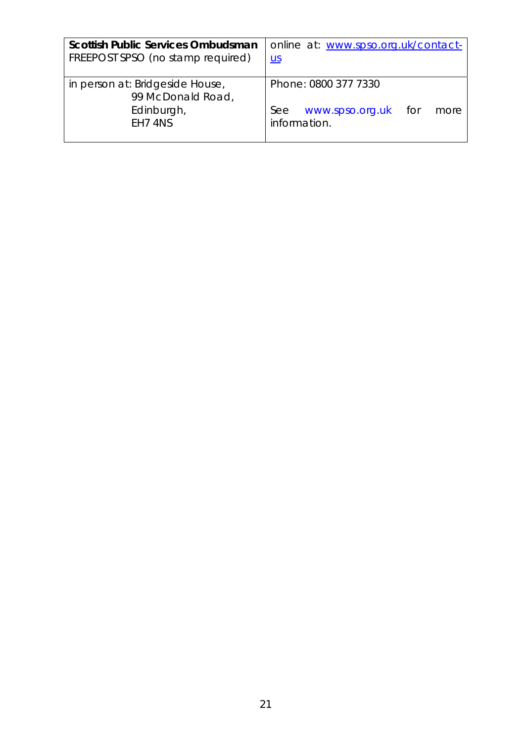| <b>Scottish Public Services Ombudsman</b><br>FREEPOST SPSO (no stamp required) | online at: www.spso.org.uk/contact-<br>$U$                                       |
|--------------------------------------------------------------------------------|----------------------------------------------------------------------------------|
| in person at: Bridgeside House,<br>99 McDonald Road,<br>Edinburgh,<br>EH7 4NS  | Phone: 0800 377 7330<br>www.spso.org.uk<br>See<br>tor to<br>more<br>information. |
|                                                                                |                                                                                  |